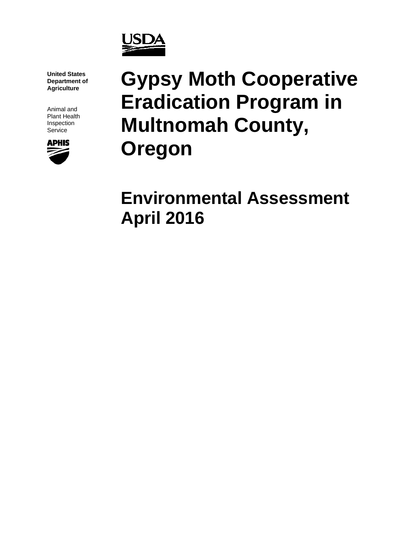

**United States Department of Agriculture**

Animal and Plant Health Inspection **Service** 



# **Gypsy Moth Cooperative Eradication Program in Multnomah County, Oregon**

# **Environmental Assessment April 2016**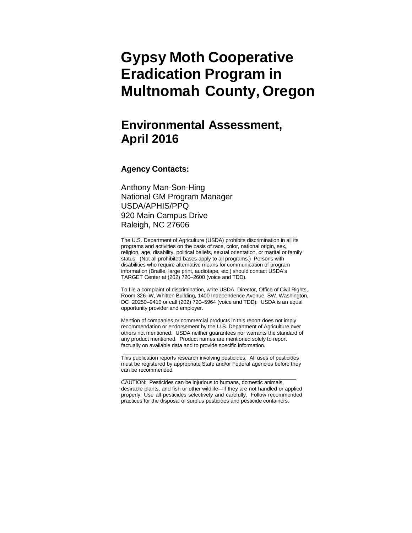# **Gypsy Moth Cooperative Eradication Program in Multnomah County, Oregon**

# **Environmental Assessment, April 2016**

#### **Agency Contacts:**

Anthony Man-Son-Hing National GM Program Manager USDA/APHIS/PPQ 920 Main Campus Drive Raleigh, NC 27606

The U.S. Department of Agriculture (USDA) prohibits discrimination in all its programs and activities on the basis of race, color, national origin, sex, religion, age, disability, political beliefs, sexual orientation, or marital or family status. (Not all prohibited bases apply to all programs.) Persons with disabilities who require alternative means for communication of program information (Braille, large print, audiotape, etc.) should contact USDA's TARGET Center at (202) 720–2600 (voice and TDD).

To file a complaint of discrimination, write USDA, Director, Office of Civil Rights, Room 326–W, Whitten Building, 1400 Independence Avenue, SW, Washington, DC 20250–9410 or call (202) 720–5964 (voice and TDD). USDA is an equal opportunity provider and employer.

Mention of companies or commercial products in this report does not imply recommendation or endorsement by the U.S. Department of Agriculture over others not mentioned. USDA neither guarantees nor warrants the standard of any product mentioned. Product names are mentioned solely to report factually on available data and to provide specific information.

This publication reports research involving pesticides. All uses of pesticides must be registered by appropriate State and/or Federal agencies before they can be recommended.

CAUTION: Pesticides can be injurious to humans, domestic animals, desirable plants, and fish or other wildlife—if they are not handled or applied properly. Use all pesticides selectively and carefully. Follow recommended practices for the disposal of surplus pesticides and pesticide containers.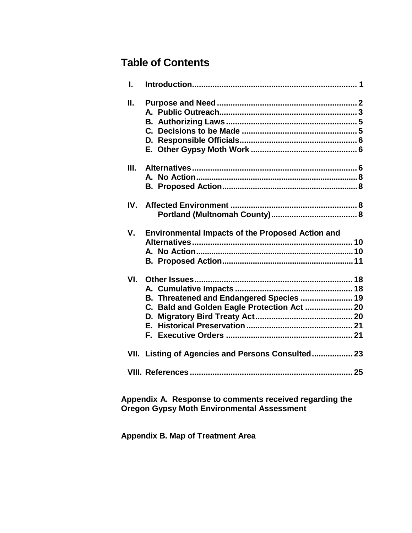# **Table of Contents**

| I.  |                                                                                                           |
|-----|-----------------------------------------------------------------------------------------------------------|
| П.  |                                                                                                           |
| Ш.  |                                                                                                           |
| IV. |                                                                                                           |
| V.  | <b>Environmental Impacts of the Proposed Action and</b>                                                   |
| VI. | B. Threatened and Endangered Species  19<br>C. Bald and Golden Eagle Protection Act  20<br>D.<br>F.<br>E. |
|     | VII. Listing of Agencies and Persons Consulted 23                                                         |
|     |                                                                                                           |

**Appendix A. Response to comments received regarding the Oregon Gypsy Moth Environmental Assessment**

**Appendix B. Map of Treatment Area**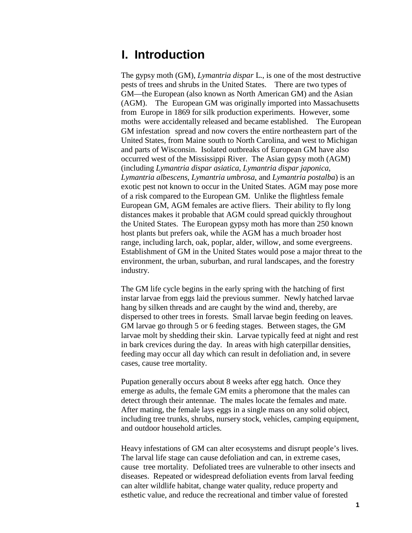# <span id="page-3-0"></span>**I. Introduction**

The gypsy moth (GM), *Lymantria dispar* L., is one of the most destructive pests of trees and shrubs in the United States. There are two types of GM—the European (also known as North American GM) and the Asian (AGM). The European GM was originally imported into Massachusetts from Europe in 1869 for silk production experiments. However, some moths were accidentally released and became established. The European GM infestation spread and now covers the entire northeastern part of the United States, from Maine south to North Carolina, and west to Michigan and parts of Wisconsin. Isolated outbreaks of European GM have also occurred west of the Mississippi River. The Asian gypsy moth (AGM) (including *Lymantria dispar asiatica*, *Lymantria dispar japonica*, *Lymantria albescens*, *Lymantria umbrosa*, and *Lymantria postalba*) is an exotic pest not known to occur in the United States. AGM may pose more of a risk compared to the European GM. Unlike the flightless female European GM, AGM females are active fliers. Their ability to fly long distances makes it probable that AGM could spread quickly throughout the United States. The European gypsy moth has more than 250 known host plants but prefers oak, while the AGM has a much broader host range, including larch, oak, poplar, alder, willow, and some evergreens. Establishment of GM in the United States would pose a major threat to the environment, the urban, suburban, and rural landscapes, and the forestry industry.

The GM life cycle begins in the early spring with the hatching of first instar larvae from eggs laid the previous summer. Newly hatched larvae hang by silken threads and are caught by the wind and, thereby, are dispersed to other trees in forests. Small larvae begin feeding on leaves. GM larvae go through 5 or 6 feeding stages. Between stages, the GM larvae molt by shedding their skin. Larvae typically feed at night and rest in bark crevices during the day. In areas with high caterpillar densities, feeding may occur all day which can result in defoliation and, in severe cases, cause tree mortality.

Pupation generally occurs about 8 weeks after egg hatch. Once they emerge as adults, the female GM emits a pheromone that the males can detect through their antennae. The males locate the females and mate. After mating, the female lays eggs in a single mass on any solid object, including tree trunks, shrubs, nursery stock, vehicles, camping equipment, and outdoor household articles.

Heavy infestations of GM can alter ecosystems and disrupt people's lives. The larval life stage can cause defoliation and can, in extreme cases, cause tree mortality. Defoliated trees are vulnerable to other insects and diseases. Repeated or widespread defoliation events from larval feeding can alter wildlife habitat, change water quality, reduce property and esthetic value, and reduce the recreational and timber value of forested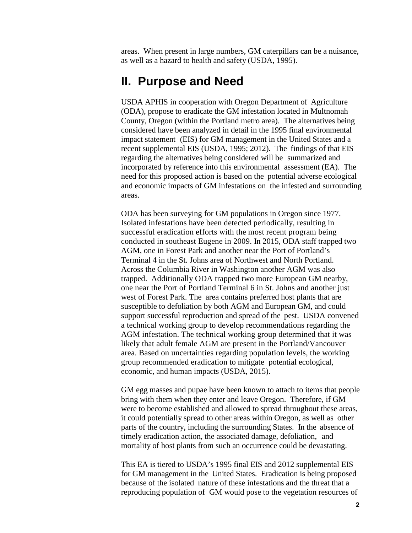areas. When present in large numbers, GM caterpillars can be a nuisance, as well as a hazard to health and safety (USDA, 1995).

# <span id="page-4-0"></span>**II. Purpose and Need**

USDA APHIS in cooperation with Oregon Department of Agriculture (ODA), propose to eradicate the GM infestation located in Multnomah County, Oregon (within the Portland metro area). The alternatives being considered have been analyzed in detail in the 1995 final environmental impact statement (EIS) for GM management in the United States and a recent supplemental EIS (USDA, 1995; 2012). The findings of that EIS regarding the alternatives being considered will be summarized and incorporated by reference into this environmental assessment (EA). The need for this proposed action is based on the potential adverse ecological and economic impacts of GM infestations on the infested and surrounding areas.

ODA has been surveying for GM populations in Oregon since 1977. Isolated infestations have been detected periodically, resulting in successful eradication efforts with the most recent program being conducted in southeast Eugene in 2009. In 2015, ODA staff trapped two AGM, one in Forest Park and another near the Port of Portland's Terminal 4 in the St. Johns area of Northwest and North Portland. Across the Columbia River in Washington another AGM was also trapped. Additionally ODA trapped two more European GM nearby, one near the Port of Portland Terminal 6 in St. Johns and another just west of Forest Park. The area contains preferred host plants that are susceptible to defoliation by both AGM and European GM, and could support successful reproduction and spread of the pest. USDA convened a technical working group to develop recommendations regarding the AGM infestation. The technical working group determined that it was likely that adult female AGM are present in the Portland/Vancouver area. Based on uncertainties regarding population levels, the working group recommended eradication to mitigate potential ecological, economic, and human impacts (USDA, 2015).

GM egg masses and pupae have been known to attach to items that people bring with them when they enter and leave Oregon. Therefore, if GM were to become established and allowed to spread throughout these areas, it could potentially spread to other areas within Oregon, as well as other parts of the country, including the surrounding States. In the absence of timely eradication action, the associated damage, defoliation, and mortality of host plants from such an occurrence could be devastating.

This EA is tiered to USDA's 1995 final EIS and 2012 supplemental EIS for GM management in the United States. Eradication is being proposed because of the isolated nature of these infestations and the threat that a reproducing population of GM would pose to the vegetation resources of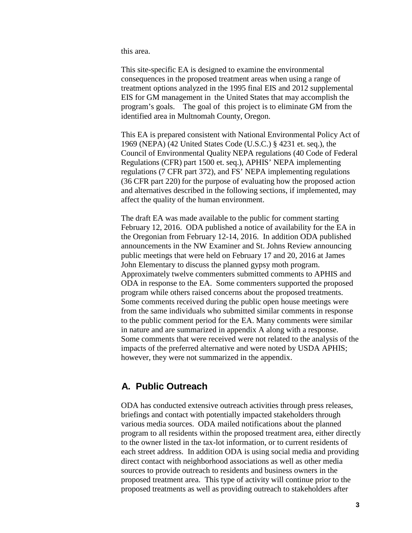this area.

This site-specific EA is designed to examine the environmental consequences in the proposed treatment areas when using a range of treatment options analyzed in the 1995 final EIS and 2012 supplemental EIS for GM management in the United States that may accomplish the program's goals. The goal of this project is to eliminate GM from the identified area in Multnomah County, Oregon.

This EA is prepared consistent with National Environmental Policy Act of 1969 (NEPA) (42 United States Code (U.S.C.) § 4231 et. seq.), the Council of Environmental Quality NEPA regulations (40 Code of Federal Regulations (CFR) part 1500 et. seq.), APHIS' NEPA implementing regulations (7 CFR part 372), and FS' NEPA implementing regulations (36 CFR part 220) for the purpose of evaluating how the proposed action and alternatives described in the following sections, if implemented, may affect the quality of the human environment.

The draft EA was made available to the public for comment starting February 12, 2016. ODA published a notice of availability for the EA in the Oregonian from February 12-14, 2016. In addition ODA published announcements in the NW Examiner and St. Johns Review announcing public meetings that were held on February 17 and 20, 2016 at James John Elementary to discuss the planned gypsy moth program. Approximately twelve commenters submitted comments to APHIS and ODA in response to the EA. Some commenters supported the proposed program while others raised concerns about the proposed treatments. Some comments received during the public open house meetings were from the same individuals who submitted similar comments in response to the public comment period for the EA. Many comments were similar in nature and are summarized in appendix A along with a response. Some comments that were received were not related to the analysis of the impacts of the preferred alternative and were noted by USDA APHIS; however, they were not summarized in the appendix.

### <span id="page-5-0"></span>**A. Public Outreach**

ODA has conducted extensive outreach activities through press releases, briefings and contact with potentially impacted stakeholders through various media sources. ODA mailed notifications about the planned program to all residents within the proposed treatment area, either directly to the owner listed in the tax-lot information, or to current residents of each street address. In addition ODA is using social media and providing direct contact with neighborhood associations as well as other media sources to provide outreach to residents and business owners in the proposed treatment area. This type of activity will continue prior to the proposed treatments as well as providing outreach to stakeholders after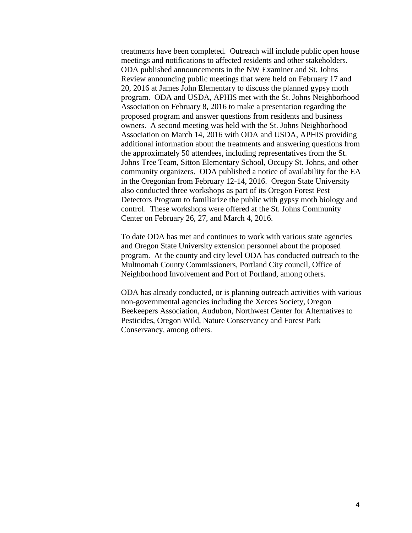treatments have been completed. Outreach will include public open house meetings and notifications to affected residents and other stakeholders. ODA published announcements in the NW Examiner and St. Johns Review announcing public meetings that were held on February 17 and 20, 2016 at James John Elementary to discuss the planned gypsy moth program. ODA and USDA, APHIS met with the St. Johns Neighborhood Association on February 8, 2016 to make a presentation regarding the proposed program and answer questions from residents and business owners. A second meeting was held with the St. Johns Neighborhood Association on March 14, 2016 with ODA and USDA, APHIS providing additional information about the treatments and answering questions from the approximately 50 attendees, including representatives from the St. Johns Tree Team, Sitton Elementary School, Occupy St. Johns, and other community organizers. ODA published a notice of availability for the EA in the Oregonian from February 12-14, 2016. Oregon State University also conducted three workshops as part of its Oregon Forest Pest Detectors Program to familiarize the public with gypsy moth biology and control. These workshops were offered at the St. Johns Community Center on February 26, 27, and March 4, 2016.

To date ODA has met and continues to work with various state agencies and Oregon State University extension personnel about the proposed program. At the county and city level ODA has conducted outreach to the Multnomah County Commissioners, Portland City council, Office of Neighborhood Involvement and Port of Portland, among others.

ODA has already conducted, or is planning outreach activities with various non-governmental agencies including the Xerces Society, Oregon Beekeepers Association, Audubon, Northwest Center for Alternatives to Pesticides, Oregon Wild, Nature Conservancy and Forest Park Conservancy, among others.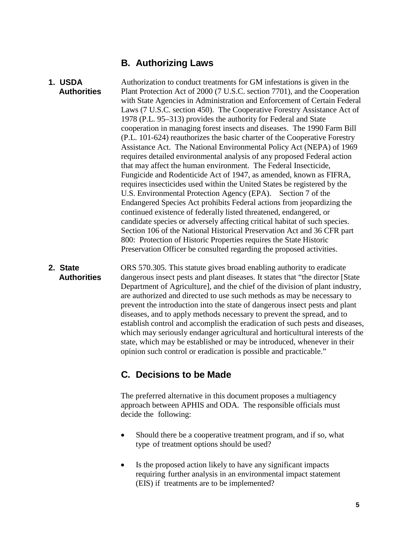### **B. Authorizing Laws**

**1. USDA Authorities** Authorization to conduct treatments for GM infestations is given in the Plant Protection Act of 2000 (7 U.S.C. section 7701), and the Cooperation with State Agencies in Administration and Enforcement of Certain Federal Laws (7 U.S.C. section 450). The Cooperative Forestry Assistance Act of 1978 (P.L. 95–313) provides the authority for Federal and State cooperation in managing forest insects and diseases. The 1990 Farm Bill (P.L. 101-624) reauthorizes the basic charter of the Cooperative Forestry Assistance Act. The National Environmental Policy Act (NEPA) of 1969 requires detailed environmental analysis of any proposed Federal action that may affect the human environment. The Federal Insecticide, Fungicide and Rodenticide Act of 1947, as amended, known as FIFRA, requires insecticides used within the United States be registered by the U.S. Environmental Protection Agency (EPA). Section 7 of the Endangered Species Act prohibits Federal actions from jeopardizing the continued existence of federally listed threatened, endangered, or candidate species or adversely affecting critical habitat of such species. Section 106 of the National Historical Preservation Act and 36 CFR part 800: Protection of Historic Properties requires the State Historic Preservation Officer be consulted regarding the proposed activities.

**2. State Authorities** ORS 570.305. This statute gives broad enabling authority to eradicate dangerous insect pests and plant diseases. It states that "the director [State Department of Agriculture], and the chief of the division of plant industry, are authorized and directed to use such methods as may be necessary to prevent the introduction into the state of dangerous insect pests and plant diseases, and to apply methods necessary to prevent the spread, and to establish control and accomplish the eradication of such pests and diseases, which may seriously endanger agricultural and horticultural interests of the state, which may be established or may be introduced, whenever in their opinion such control or eradication is possible and practicable."

# <span id="page-7-0"></span>**C. Decisions to be Made**

The preferred alternative in this document proposes a multiagency approach between APHIS and ODA. The responsible officials must decide the following:

- Should there be a cooperative treatment program, and if so, what type of treatment options should be used?
- Is the proposed action likely to have any significant impacts requiring further analysis in an environmental impact statement (EIS) if treatments are to be implemented?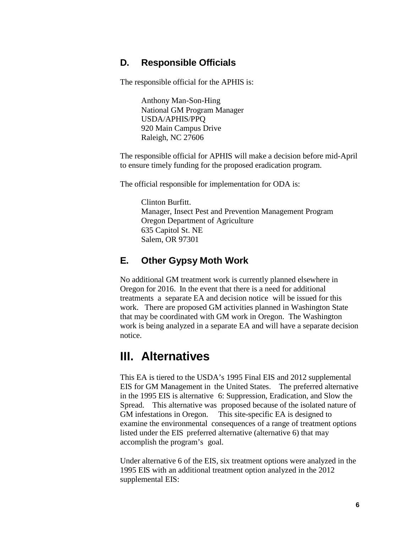### <span id="page-8-0"></span>**D. Responsible Officials**

The responsible official for the APHIS is:

Anthony Man-Son-Hing National GM Program Manager USDA/APHIS/PPQ 920 Main Campus Drive Raleigh, NC 27606

The responsible official for APHIS will make a decision before mid-April to ensure timely funding for the proposed eradication program.

The official responsible for implementation for ODA is:

Clinton Burfitt. Manager, Insect Pest and Prevention Management Program Oregon Department of Agriculture 635 Capitol St. NE Salem, OR 97301

### <span id="page-8-1"></span>**E. Other Gypsy Moth Work**

No additional GM treatment work is currently planned elsewhere in Oregon for 2016. In the event that there is a need for additional treatments a separate EA and decision notice will be issued for this work. There are proposed GM activities planned in Washington State that may be coordinated with GM work in Oregon. The Washington work is being analyzed in a separate EA and will have a separate decision notice.

# <span id="page-8-2"></span>**III. Alternatives**

This EA is tiered to the USDA's 1995 Final EIS and 2012 supplemental EIS for GM Management in the United States. The preferred alternative in the 1995 EIS is alternative 6: Suppression, Eradication, and Slow the Spread. This alternative was proposed because of the isolated nature of GM infestations in Oregon. This site-specific EA is designed to examine the environmental consequences of a range of treatment options listed under the EIS preferred alternative (alternative 6) that may accomplish the program's goal.

Under alternative 6 of the EIS, six treatment options were analyzed in the 1995 EIS with an additional treatment option analyzed in the 2012 supplemental EIS: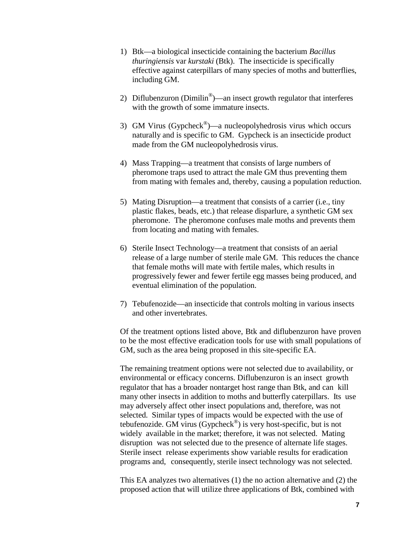- 1) Btk—a biological insecticide containing the bacterium *Bacillus thuringiensis* var *kurstaki* (Btk). The insecticide is specifically effective against caterpillars of many species of moths and butterflies, including GM.
- 2) Diflubenzuron (Dimilin<sup>®</sup>)—an insect growth regulator that interferes with the growth of some immature insects.
- 3) GM Virus (Gypcheck®)—a nucleopolyhedrosis virus which occurs naturally and is specific to GM. Gypcheck is an insecticide product made from the GM nucleopolyhedrosis virus.
- 4) Mass Trapping—a treatment that consists of large numbers of pheromone traps used to attract the male GM thus preventing them from mating with females and, thereby, causing a population reduction.
- 5) Mating Disruption—a treatment that consists of a carrier (i.e., tiny plastic flakes, beads, etc.) that release disparlure, a synthetic GM sex pheromone. The pheromone confuses male moths and prevents them from locating and mating with females.
- 6) Sterile Insect Technology—a treatment that consists of an aerial release of a large number of sterile male GM. This reduces the chance that female moths will mate with fertile males, which results in progressively fewer and fewer fertile egg masses being produced, and eventual elimination of the population.
- 7) Tebufenozide—an insecticide that controls molting in various insects and other invertebrates.

Of the treatment options listed above, Btk and diflubenzuron have proven to be the most effective eradication tools for use with small populations of GM, such as the area being proposed in this site-specific EA.

The remaining treatment options were not selected due to availability, or environmental or efficacy concerns. Diflubenzuron is an insect growth regulator that has a broader nontarget host range than Btk, and can kill many other insects in addition to moths and butterfly caterpillars. Its use may adversely affect other insect populations and, therefore, was not selected. Similar types of impacts would be expected with the use of tebufenozide. GM virus (Gypcheck®) is very host-specific, but is not widely available in the market; therefore, it was not selected. Mating disruption was not selected due to the presence of alternate life stages. Sterile insect release experiments show variable results for eradication programs and, consequently, sterile insect technology was not selected.

This EA analyzes two alternatives (1) the no action alternative and (2) the proposed action that will utilize three applications of Btk, combined with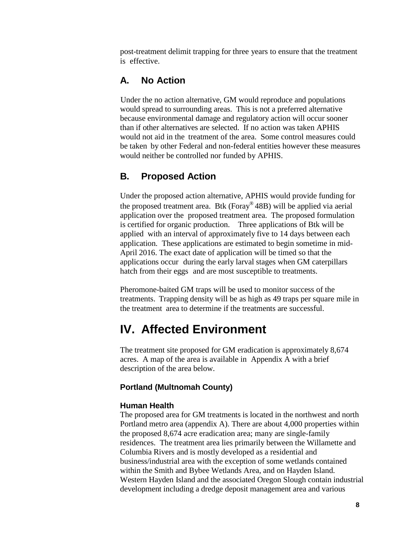post-treatment delimit trapping for three years to ensure that the treatment is effective.

## <span id="page-10-0"></span>**A. No Action**

Under the no action alternative, GM would reproduce and populations would spread to surrounding areas. This is not a preferred alternative because environmental damage and regulatory action will occur sooner than if other alternatives are selected. If no action was taken APHIS would not aid in the treatment of the area. Some control measures could be taken by other Federal and non-federal entities however these measures would neither be controlled nor funded by APHIS.

### <span id="page-10-1"></span>**B. Proposed Action**

Under the proposed action alternative, APHIS would provide funding for the proposed treatment area. Btk (Foray® 48B) will be applied via aerial application over the proposed treatment area. The proposed formulation is certified for organic production. Three applications of Btk will be applied with an interval of approximately five to 14 days between each application. These applications are estimated to begin sometime in mid-April 2016. The exact date of application will be timed so that the applications occur during the early larval stages when GM caterpillars hatch from their eggs and are most susceptible to treatments.

Pheromone-baited GM traps will be used to monitor success of the treatments. Trapping density will be as high as 49 traps per square mile in the treatment area to determine if the treatments are successful.

# <span id="page-10-2"></span>**IV. Affected Environment**

The treatment site proposed for GM eradication is approximately 8,674 acres. A map of the area is available in Appendix A with a brief description of the area below.

#### **Portland (Multnomah County)**

#### **Human Health**

The proposed area for GM treatments is located in the northwest and north Portland metro area (appendix A). There are about 4,000 properties within the proposed 8,674 acre eradication area; many are single-family residences. The treatment area lies primarily between the Willamette and Columbia Rivers and is mostly developed as a residential and business/industrial area with the exception of some wetlands contained within the Smith and Bybee Wetlands Area, and on Hayden Island. Western Hayden Island and the associated Oregon Slough contain industrial development including a dredge deposit management area and various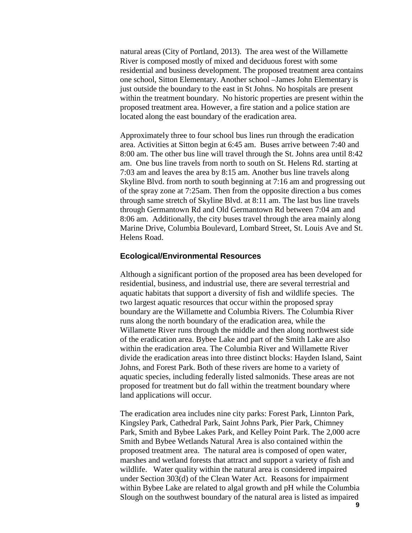natural areas (City of Portland, 2013). The area west of the Willamette River is composed mostly of mixed and deciduous forest with some residential and business development. The proposed treatment area contains one school, Sitton Elementary. Another school –James John Elementary is just outside the boundary to the east in St Johns. No hospitals are present within the treatment boundary. No historic properties are present within the proposed treatment area. However, a fire station and a police station are located along the east boundary of the eradication area.

Approximately three to four school bus lines run through the eradication area. Activities at Sitton begin at 6:45 am. Buses arrive between 7:40 and 8:00 am. The other bus line will travel through the St. Johns area until 8:42 am. One bus line travels from north to south on St. Helens Rd. starting at 7:03 am and leaves the area by 8:15 am. Another bus line travels along Skyline Blvd. from north to south beginning at 7:16 am and progressing out of the spray zone at 7:25am. Then from the opposite direction a bus comes through same stretch of Skyline Blvd. at 8:11 am. The last bus line travels through Germantown Rd and Old Germantown Rd between 7:04 am and 8:06 am. Additionally, the city buses travel through the area mainly along Marine Drive, Columbia Boulevard, Lombard Street, St. Louis Ave and St. Helens Road.

#### **Ecological/Environmental Resources**

Although a significant portion of the proposed area has been developed for residential, business, and industrial use, there are several terrestrial and aquatic habitats that support a diversity of fish and wildlife species. The two largest aquatic resources that occur within the proposed spray boundary are the Willamette and Columbia Rivers. The Columbia River runs along the north boundary of the eradication area, while the Willamette River runs through the middle and then along northwest side of the eradication area. Bybee Lake and part of the Smith Lake are also within the eradication area. The Columbia River and Willamette River divide the eradication areas into three distinct blocks: Hayden Island, Saint Johns, and Forest Park. Both of these rivers are home to a variety of aquatic species, including federally listed salmonids. These areas are not proposed for treatment but do fall within the treatment boundary where land applications will occur.

The eradication area includes nine city parks: Forest Park, Linnton Park, Kingsley Park, Cathedral Park, Saint Johns Park, Pier Park, Chimney Park, Smith and Bybee Lakes Park, and Kelley Point Park. The 2,000 acre Smith and Bybee Wetlands Natural Area is also contained within the proposed treatment area. The natural area is composed of open water, marshes and wetland forests that attract and support a variety of fish and wildlife. Water quality within the natural area is considered impaired under Section 303(d) of the Clean Water Act. Reasons for impairment within Bybee Lake are related to algal growth and pH while the Columbia Slough on the southwest boundary of the natural area is listed as impaired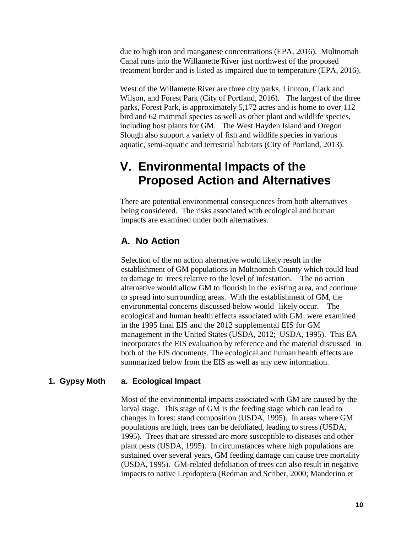due to high iron and manganese concentrations (EPA, 2016). Multnomah Canal runs into the Willamette River just northwest of the proposed treatment border and is listed as impaired due to temperature (EPA, 2016).

West of the Willamette River are three city parks, Linnton, Clark and Wilson, and Forest Park (City of Portland, 2016). The largest of the three parks, Forest Park, is approximately 5,172 acres and is home to over 112 bird and 62 mammal species as well as other plant and wildlife species, including host plants for GM. The West Hayden Island and Oregon Slough also support a variety of fish and wildlife species in various aquatic, semi-aquatic and terrestrial habitats (City of Portland, 2013).

# <span id="page-12-1"></span><span id="page-12-0"></span>**V. Environmental Impacts of the Proposed Action and Alternatives**

There are potential environmental consequences from both alternatives being considered. The risks associated with ecological and human impacts are examined under both alternatives.

## <span id="page-12-2"></span>**A. No Action**

Selection of the no action alternative would likely result in the establishment of GM populations in Multnomah County which could lead to damage to trees relative to the level of infestation. The no action alternative would allow GM to flourish in the existing area, and continue to spread into surrounding areas. With the establishment of GM, the environmental concerns discussed below would likely occur. The ecological and human health effects associated with GM were examined in the 1995 final EIS and the 2012 supplemental EIS for GM management in the United States (USDA, 2012; USDA, 1995). This EA incorporates the EIS evaluation by reference and the material discussed in both of the EIS documents. The ecological and human health effects are summarized below from the EIS as well as any new information.

### **1. Gypsy Moth a. Ecological Impact**

Most of the environmental impacts associated with GM are caused by the larval stage. This stage of GM is the feeding stage which can lead to changes in forest stand composition (USDA, 1995). In areas where GM populations are high, trees can be defoliated, leading to stress (USDA, 1995). Trees that are stressed are more susceptible to diseases and other plant pests (USDA, 1995). In circumstances where high populations are sustained over several years, GM feeding damage can cause tree mortality (USDA, 1995). GM-related defoliation of trees can also result in negative impacts to native Lepidoptera (Redman and Scriber, 2000; Manderino et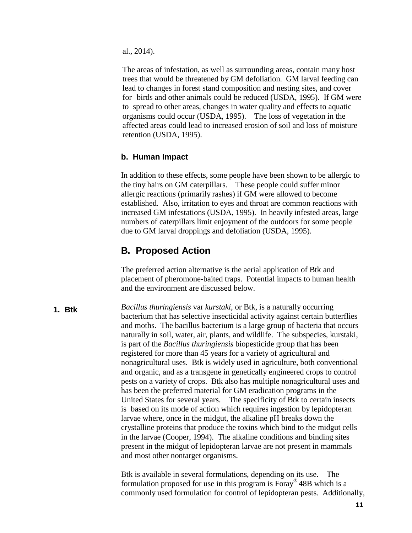al., 2014).

The areas of infestation, as well as surrounding areas, contain many host trees that would be threatened by GM defoliation. GM larval feeding can lead to changes in forest stand composition and nesting sites, and cover for birds and other animals could be reduced (USDA, 1995). If GM were to spread to other areas, changes in water quality and effects to aquatic organisms could occur (USDA, 1995). The loss of vegetation in the affected areas could lead to increased erosion of soil and loss of moisture retention (USDA, 1995).

#### **b. Human Impact**

In addition to these effects, some people have been shown to be allergic to the tiny hairs on GM caterpillars. These people could suffer minor allergic reactions (primarily rashes) if GM were allowed to become established. Also, irritation to eyes and throat are common reactions with increased GM infestations (USDA, 1995). In heavily infested areas, large numbers of caterpillars limit enjoyment of the outdoors for some people due to GM larval droppings and defoliation (USDA, 1995).

### **B. Proposed Action**

The preferred action alternative is the aerial application of Btk and placement of pheromone-baited traps. Potential impacts to human health and the environment are discussed below.

<span id="page-13-0"></span>**1. Btk**

*Bacillus thuringiensis* var *kurstaki*, or Btk, is a naturally occurring bacterium that has selective insecticidal activity against certain butterflies and moths. The bacillus bacterium is a large group of bacteria that occurs naturally in soil, water, air, plants, and wildlife. The subspecies, kurstaki, is part of the *Bacillus thuringiensis* biopesticide group that has been registered for more than 45 years for a variety of agricultural and nonagricultural uses. Btk is widely used in agriculture, both conventional and organic, and as a transgene in genetically engineered crops to control pests on a variety of crops. Btk also has multiple nonagricultural uses and has been the preferred material for GM eradication programs in the United States for several years. The specificity of Btk to certain insects is based on its mode of action which requires ingestion by lepidopteran larvae where, once in the midgut, the alkaline pH breaks down the crystalline proteins that produce the toxins which bind to the midgut cells in the larvae (Cooper, 1994). The alkaline conditions and binding sites present in the midgut of lepidopteran larvae are not present in mammals and most other nontarget organisms.

Btk is available in several formulations, depending on its use. The formulation proposed for use in this program is  $F_{\text{or}q}$ <sup>®</sup> 48B which is a commonly used formulation for control of lepidopteran pests. Additionally,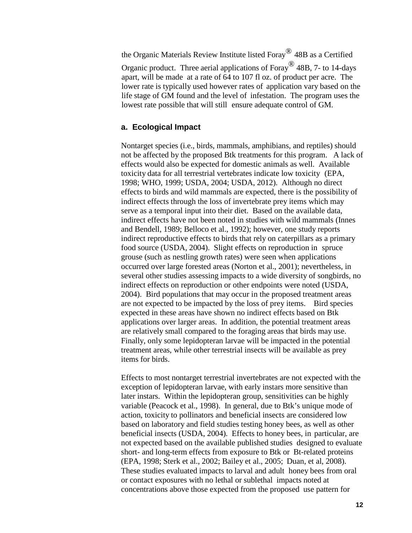the Organic Materials Review Institute listed Foray® 48B as <sup>a</sup> Certified Organic product. Three aerial applications of Foray® 48B, 7- to 14-days apart, will be made at a rate of 64 to 107 fl oz. of product per acre. The lower rate is typically used however rates of application vary based on the life stage of GM found and the level of infestation. The program uses the lowest rate possible that will still ensure adequate control of GM.

#### **a. Ecological Impact**

Nontarget species (i.e., birds, mammals, amphibians, and reptiles) should not be affected by the proposed Btk treatments for this program. A lack of effects would also be expected for domestic animals as well. Available toxicity data for all terrestrial vertebrates indicate low toxicity (EPA, 1998; WHO, 1999; USDA, 2004; USDA, 2012). Although no direct effects to birds and wild mammals are expected, there is the possibility of indirect effects through the loss of invertebrate prey items which may serve as a temporal input into their diet. Based on the available data, indirect effects have not been noted in studies with wild mammals (Innes and Bendell, 1989; Belloco et al., 1992); however, one study reports indirect reproductive effects to birds that rely on caterpillars as a primary food source (USDA, 2004). Slight effects on reproduction in spruce grouse (such as nestling growth rates) were seen when applications occurred over large forested areas (Norton et al., 2001); nevertheless, in several other studies assessing impacts to a wide diversity of songbirds, no indirect effects on reproduction or other endpoints were noted (USDA, 2004). Bird populations that may occur in the proposed treatment areas are not expected to be impacted by the loss of prey items. Bird species expected in these areas have shown no indirect effects based on Btk applications over larger areas. In addition, the potential treatment areas are relatively small compared to the foraging areas that birds may use. Finally, only some lepidopteran larvae will be impacted in the potential treatment areas, while other terrestrial insects will be available as prey items for birds.

Effects to most nontarget terrestrial invertebrates are not expected with the exception of lepidopteran larvae, with early instars more sensitive than later instars. Within the lepidopteran group, sensitivities can be highly variable (Peacock et al., 1998). In general, due to Btk's unique mode of action, toxicity to pollinators and beneficial insects are considered low based on laboratory and field studies testing honey bees, as well as other beneficial insects (USDA, 2004). Effects to honey bees, in particular, are not expected based on the available published studies designed to evaluate short- and long-term effects from exposure to Btk or Bt-related proteins (EPA, 1998; Sterk et al., 2002; Bailey et al., 2005; Duan, et al, 2008). These studies evaluated impacts to larval and adult honey bees from oral or contact exposures with no lethal or sublethal impacts noted at concentrations above those expected from the proposed use pattern for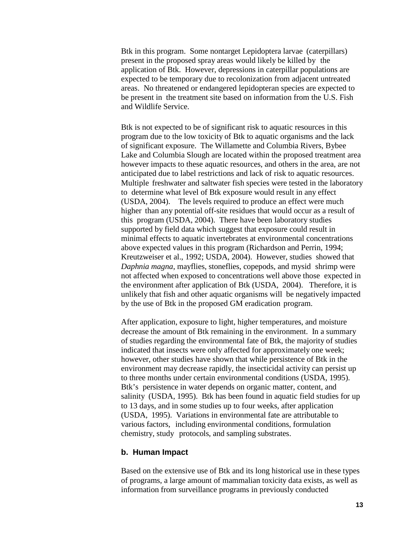Btk in this program. Some nontarget Lepidoptera larvae (caterpillars) present in the proposed spray areas would likely be killed by the application of Btk. However, depressions in caterpillar populations are expected to be temporary due to recolonization from adjacent untreated areas. No threatened or endangered lepidopteran species are expected to be present in the treatment site based on information from the U.S. Fish and Wildlife Service.

Btk is not expected to be of significant risk to aquatic resources in this program due to the low toxicity of Btk to aquatic organisms and the lack of significant exposure. The Willamette and Columbia Rivers, Bybee Lake and Columbia Slough are located within the proposed treatment area however impacts to these aquatic resources, and others in the area, are not anticipated due to label restrictions and lack of risk to aquatic resources. Multiple freshwater and saltwater fish species were tested in the laboratory to determine what level of Btk exposure would result in any effect (USDA, 2004). The levels required to produce an effect were much higher than any potential off-site residues that would occur as a result of this program (USDA, 2004). There have been laboratory studies supported by field data which suggest that exposure could result in minimal effects to aquatic invertebrates at environmental concentrations above expected values in this program (Richardson and Perrin, 1994; Kreutzweiser et al., 1992; USDA, 2004). However, studies showed that *Daphnia magna*, mayflies, stoneflies, copepods, and mysid shrimp were not affected when exposed to concentrations well above those expected in the environment after application of Btk (USDA, 2004). Therefore, it is unlikely that fish and other aquatic organisms will be negatively impacted by the use of Btk in the proposed GM eradication program.

After application, exposure to light, higher temperatures, and moisture decrease the amount of Btk remaining in the environment. In a summary of studies regarding the environmental fate of Btk, the majority of studies indicated that insects were only affected for approximately one week; however, other studies have shown that while persistence of Btk in the environment may decrease rapidly, the insecticidal activity can persist up to three months under certain environmental conditions (USDA, 1995). Btk's persistence in water depends on organic matter, content, and salinity (USDA, 1995). Btk has been found in aquatic field studies for up to 13 days, and in some studies up to four weeks, after application (USDA, 1995). Variations in environmental fate are attributable to various factors, including environmental conditions, formulation chemistry, study protocols, and sampling substrates.

#### **b. Human Impact**

Based on the extensive use of Btk and its long historical use in these types of programs, a large amount of mammalian toxicity data exists, as well as information from surveillance programs in previously conducted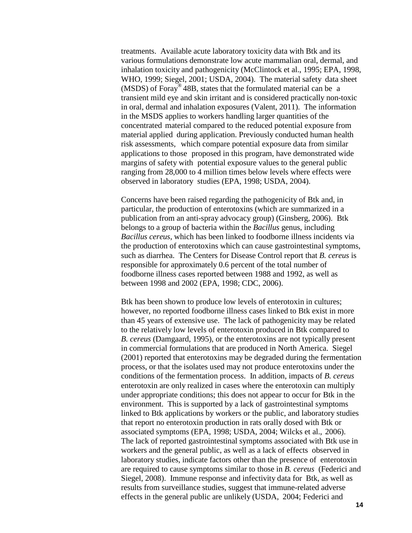treatments. Available acute laboratory toxicity data with Btk and its various formulations demonstrate low acute mammalian oral, dermal, and inhalation toxicity and pathogenicity (McClintock et al., 1995; EPA, 1998, WHO, 1999; Siegel, 2001; USDA, 2004). The material safety data sheet (MSDS) of Foray® 48B, states that the formulated material can be a transient mild eye and skin irritant and is considered practically non-toxic in oral, dermal and inhalation exposures (Valent, 2011). The information in the MSDS applies to workers handling larger quantities of the concentrated material compared to the reduced potential exposure from material applied during application. Previously conducted human health risk assessments, which compare potential exposure data from similar applications to those proposed in this program, have demonstrated wide margins of safety with potential exposure values to the general public ranging from 28,000 to 4 million times below levels where effects were observed in laboratory studies (EPA, 1998; USDA, 2004).

Concerns have been raised regarding the pathogenicity of Btk and, in particular, the production of enterotoxins (which are summarized in a publication from an anti-spray advocacy group) (Ginsberg, 2006). Btk belongs to a group of bacteria within the *Bacillus* genus, including *Bacillus cereus*, which has been linked to foodborne illness incidents via the production of enterotoxins which can cause gastrointestinal symptoms, such as diarrhea. The Centers for Disease Control report that *B. cereus* is responsible for approximately 0.6 percent of the total number of foodborne illness cases reported between 1988 and 1992, as well as between 1998 and 2002 (EPA, 1998; CDC, 2006).

Btk has been shown to produce low levels of enterotoxin in cultures; however, no reported foodborne illness cases linked to Btk exist in more than 45 years of extensive use. The lack of pathogenicity may be related to the relatively low levels of enterotoxin produced in Btk compared to *B. cereus* (Damgaard, 1995), or the enterotoxins are not typically present in commercial formulations that are produced in North America. Siegel (2001) reported that enterotoxins may be degraded during the fermentation process, or that the isolates used may not produce enterotoxins under the conditions of the fermentation process. In addition, impacts of *B. cereus* enterotoxin are only realized in cases where the enterotoxin can multiply under appropriate conditions; this does not appear to occur for Btk in the environment. This is supported by a lack of gastrointestinal symptoms linked to Btk applications by workers or the public, and laboratory studies that report no enterotoxin production in rats orally dosed with Btk or associated symptoms (EPA, 1998; USDA, 2004; Wilcks et al., 2006). The lack of reported gastrointestinal symptoms associated with Btk use in workers and the general public, as well as a lack of effects observed in laboratory studies, indicate factors other than the presence of enterotoxin are required to cause symptoms similar to those in *B. cereus* (Federici and Siegel, 2008). Immune response and infectivity data for Btk, as well as results from surveillance studies, suggest that immune-related adverse effects in the general public are unlikely (USDA, 2004; Federici and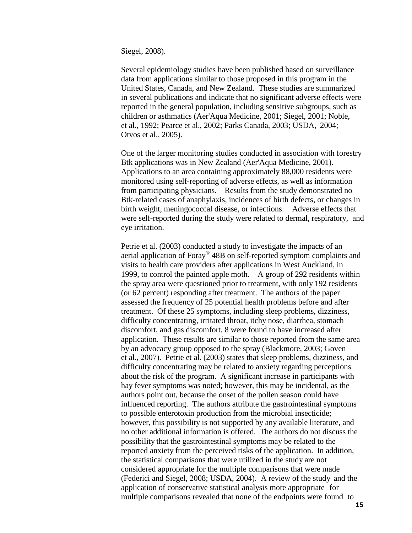Siegel, 2008).

Several epidemiology studies have been published based on surveillance data from applications similar to those proposed in this program in the United States, Canada, and New Zealand. These studies are summarized in several publications and indicate that no significant adverse effects were reported in the general population, including sensitive subgroups, such as children or asthmatics (Aer'Aqua Medicine, 2001; Siegel, 2001; Noble, et al., 1992; Pearce et al., 2002; Parks Canada, 2003; USDA, 2004; Otvos et al., 2005).

One of the larger monitoring studies conducted in association with forestry Btk applications was in New Zealand (Aer'Aqua Medicine, 2001). Applications to an area containing approximately 88,000 residents were monitored using self-reporting of adverse effects, as well as information from participating physicians. Results from the study demonstrated no Btk-related cases of anaphylaxis, incidences of birth defects, or changes in birth weight, meningococcal disease, or infections. Adverse effects that were self-reported during the study were related to dermal, respiratory, and eye irritation.

Petrie et al. (2003) conducted a study to investigate the impacts of an aerial application of Foray® 48B on self-reported symptom complaints and visits to health care providers after applications in West Auckland, in 1999, to control the painted apple moth. A group of 292 residents within the spray area were questioned prior to treatment, with only 192 residents (or 62 percent) responding after treatment. The authors of the paper assessed the frequency of 25 potential health problems before and after treatment. Of these 25 symptoms, including sleep problems, dizziness, difficulty concentrating, irritated throat, itchy nose, diarrhea, stomach discomfort, and gas discomfort, 8 were found to have increased after application. These results are similar to those reported from the same area by an advocacy group opposed to the spray (Blackmore, 2003; Goven et al., 2007). Petrie et al. (2003) states that sleep problems, dizziness, and difficulty concentrating may be related to anxiety regarding perceptions about the risk of the program. A significant increase in participants with hay fever symptoms was noted; however, this may be incidental, as the authors point out, because the onset of the pollen season could have influenced reporting. The authors attribute the gastrointestinal symptoms to possible enterotoxin production from the microbial insecticide; however, this possibility is not supported by any available literature, and no other additional information is offered. The authors do not discuss the possibility that the gastrointestinal symptoms may be related to the reported anxiety from the perceived risks of the application. In addition, the statistical comparisons that were utilized in the study are not considered appropriate for the multiple comparisons that were made (Federici and Siegel, 2008; USDA, 2004). A review of the study and the application of conservative statistical analysis more appropriate for multiple comparisons revealed that none of the endpoints were found to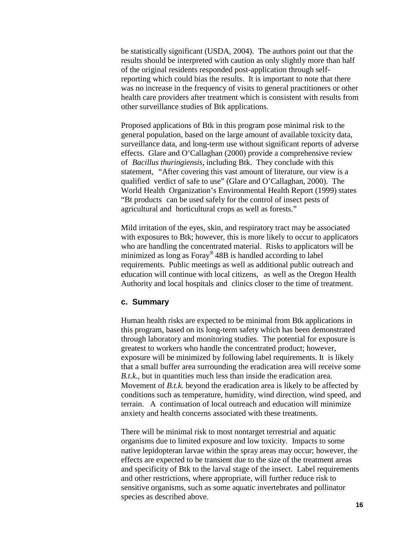be statistically significant (USDA, 2004). The authors point out that the results should be interpreted with caution as only slightly more than half of the original residents responded post-application through selfreporting which could bias the results. It is important to note that there was no increase in the frequency of visits to general practitioners or other health care providers after treatment which is consistent with results from other surveillance studies of Btk applications.

Proposed applications of Btk in this program pose minimal risk to the general population, based on the large amount of available toxicity data, surveillance data, and long-term use without significant reports of adverse effects. Glare and O'Callaghan (2000) provide a comprehensive review of *Bacillus thuringiensis*, including Btk. They conclude with this statement, "After covering this vast amount of literature, our view is a qualified verdict of safe to use" (Glare and O'Callaghan, 2000). The World Health Organization's Environmental Health Report (1999) states "Bt products can be used safely for the control of insect pests of agricultural and horticultural crops as well as forests."

Mild irritation of the eyes, skin, and respiratory tract may be associated with exposures to Btk; however, this is more likely to occur to applicators who are handling the concentrated material. Risks to applicators will be minimized as long as Foray® 48B is handled according to label requirements. Public meetings as well as additional public outreach and education will continue with local citizens, as well as the Oregon Health Authority and local hospitals and clinics closer to the time of treatment.

#### **c. Summary**

Human health risks are expected to be minimal from Btk applications in this program, based on its long-term safety which has been demonstrated through laboratory and monitoring studies. The potential for exposure is greatest to workers who handle the concentrated product; however, exposure will be minimized by following label requirements. It is likely that a small buffer area surrounding the eradication area will receive some *B.t.k.*, but in quantities much less than inside the eradication area. Movement of *B.t.k.* beyond the eradication area is likely to be affected by conditions such as temperature, humidity, wind direction, wind speed, and terrain. A continuation of local outreach and education will minimize anxiety and health concerns associated with these treatments.

There will be minimal risk to most nontarget terrestrial and aquatic organisms due to limited exposure and low toxicity. Impacts to some native lepidopteran larvae within the spray areas may occur; however, the effects are expected to be transient due to the size of the treatment areas and specificity of Btk to the larval stage of the insect. Label requirements and other restrictions, where appropriate, will further reduce risk to sensitive organisms, such as some aquatic invertebrates and pollinator species as described above.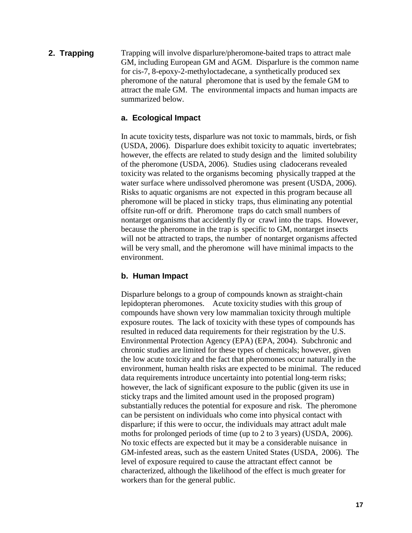**2. Trapping** Trapping will involve disparlure/pheromone-baited traps to attract male GM, including European GM and AGM. Disparlure is the common name for cis-7, 8-epoxy-2-methyloctadecane, a synthetically produced sex pheromone of the natural pheromone that is used by the female GM to attract the male GM. The environmental impacts and human impacts are summarized below.

#### **a. Ecological Impact**

In acute toxicity tests, disparlure was not toxic to mammals, birds, or fish (USDA, 2006). Disparlure does exhibit toxicity to aquatic invertebrates; however, the effects are related to study design and the limited solubility of the pheromone (USDA, 2006). Studies using cladocerans revealed toxicity was related to the organisms becoming physically trapped at the water surface where undissolved pheromone was present (USDA, 2006). Risks to aquatic organisms are not expected in this program because all pheromone will be placed in sticky traps, thus eliminating any potential offsite run-off or drift. Pheromone traps do catch small numbers of nontarget organisms that accidently fly or crawl into the traps. However, because the pheromone in the trap is specific to GM, nontarget insects will not be attracted to traps, the number of nontarget organisms affected will be very small, and the pheromone will have minimal impacts to the environment.

#### **b. Human Impact**

Disparlure belongs to a group of compounds known as straight-chain lepidopteran pheromones. Acute toxicity studies with this group of compounds have shown very low mammalian toxicity through multiple exposure routes. The lack of toxicity with these types of compounds has resulted in reduced data requirements for their registration by the U.S. Environmental Protection Agency (EPA) (EPA, 2004). Subchronic and chronic studies are limited for these types of chemicals; however, given the low acute toxicity and the fact that pheromones occur naturally in the environment, human health risks are expected to be minimal. The reduced data requirements introduce uncertainty into potential long-term risks; however, the lack of significant exposure to the public (given its use in sticky traps and the limited amount used in the proposed program) substantially reduces the potential for exposure and risk. The pheromone can be persistent on individuals who come into physical contact with disparlure; if this were to occur, the individuals may attract adult male moths for prolonged periods of time (up to 2 to 3 years) (USDA, 2006). No toxic effects are expected but it may be a considerable nuisance in GM-infested areas, such as the eastern United States (USDA, 2006). The level of exposure required to cause the attractant effect cannot be characterized, although the likelihood of the effect is much greater for workers than for the general public.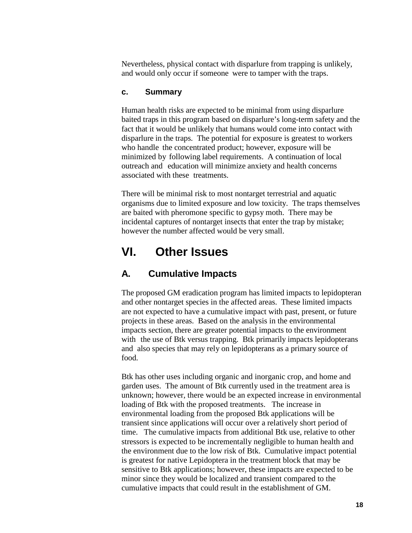Nevertheless, physical contact with disparlure from trapping is unlikely, and would only occur if someone were to tamper with the traps.

#### **c. Summary**

Human health risks are expected to be minimal from using disparlure baited traps in this program based on disparlure's long-term safety and the fact that it would be unlikely that humans would come into contact with disparlure in the traps. The potential for exposure is greatest to workers who handle the concentrated product; however, exposure will be minimized by following label requirements. A continuation of local outreach and education will minimize anxiety and health concerns associated with these treatments.

There will be minimal risk to most nontarget terrestrial and aquatic organisms due to limited exposure and low toxicity. The traps themselves are baited with pheromone specific to gypsy moth. There may be incidental captures of nontarget insects that enter the trap by mistake; however the number affected would be very small.

# <span id="page-20-0"></span>**VI. Other Issues**

### <span id="page-20-1"></span>**A. Cumulative Impacts**

The proposed GM eradication program has limited impacts to lepidopteran and other nontarget species in the affected areas. These limited impacts are not expected to have a cumulative impact with past, present, or future projects in these areas. Based on the analysis in the environmental impacts section, there are greater potential impacts to the environment with the use of Btk versus trapping. Btk primarily impacts lepidopterans and also species that may rely on lepidopterans as a primary source of food.

Btk has other uses including organic and inorganic crop, and home and garden uses. The amount of Btk currently used in the treatment area is unknown; however, there would be an expected increase in environmental loading of Btk with the proposed treatments. The increase in environmental loading from the proposed Btk applications will be transient since applications will occur over a relatively short period of time. The cumulative impacts from additional Btk use, relative to other stressors is expected to be incrementally negligible to human health and the environment due to the low risk of Btk. Cumulative impact potential is greatest for native Lepidoptera in the treatment block that may be sensitive to Btk applications; however, these impacts are expected to be minor since they would be localized and transient compared to the cumulative impacts that could result in the establishment of GM.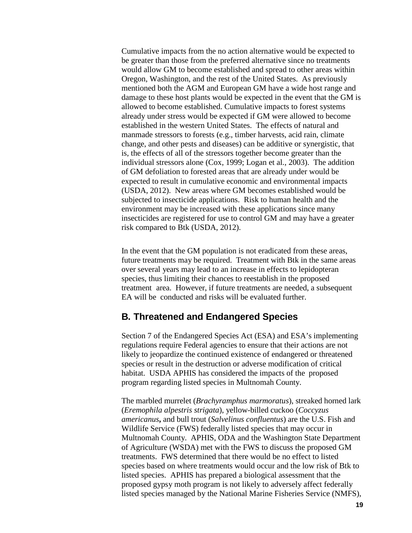Cumulative impacts from the no action alternative would be expected to be greater than those from the preferred alternative since no treatments would allow GM to become established and spread to other areas within Oregon, Washington, and the rest of the United States. As previously mentioned both the AGM and European GM have a wide host range and damage to these host plants would be expected in the event that the GM is allowed to become established. Cumulative impacts to forest systems already under stress would be expected if GM were allowed to become established in the western United States. The effects of natural and manmade stressors to forests (e.g., timber harvests, acid rain, climate change, and other pests and diseases) can be additive or synergistic, that is, the effects of all of the stressors together become greater than the individual stressors alone (Cox, 1999; Logan et al., 2003). The addition of GM defoliation to forested areas that are already under would be expected to result in cumulative economic and environmental impacts (USDA, 2012). New areas where GM becomes established would be subjected to insecticide applications. Risk to human health and the environment may be increased with these applications since many insecticides are registered for use to control GM and may have a greater risk compared to Btk (USDA, 2012).

In the event that the GM population is not eradicated from these areas, future treatments may be required. Treatment with Btk in the same areas over several years may lead to an increase in effects to lepidopteran species, thus limiting their chances to reestablish in the proposed treatment area. However, if future treatments are needed, a subsequent EA will be conducted and risks will be evaluated further.

### <span id="page-21-0"></span>**B. Threatened and Endangered Species**

Section 7 of the Endangered Species Act (ESA) and ESA's implementing regulations require Federal agencies to ensure that their actions are not likely to jeopardize the continued existence of endangered or threatened species or result in the destruction or adverse modification of critical habitat. USDA APHIS has considered the impacts of the proposed program regarding listed species in Multnomah County.

The marbled murrelet (*Brachyramphus marmoratus*), streaked horned lark (*Eremophila alpestris strigata*), yellow-billed cuckoo (*Coccyzus americanus***,** and bull trout (*Salvelinus confluentus*) are the U.S. Fish and Wildlife Service (FWS) federally listed species that may occur in Multnomah County. APHIS, ODA and the Washington State Department of Agriculture (WSDA) met with the FWS to discuss the proposed GM treatments. FWS determined that there would be no effect to listed species based on where treatments would occur and the low risk of Btk to listed species. APHIS has prepared a biological assessment that the proposed gypsy moth program is not likely to adversely affect federally listed species managed by the National Marine Fisheries Service (NMFS),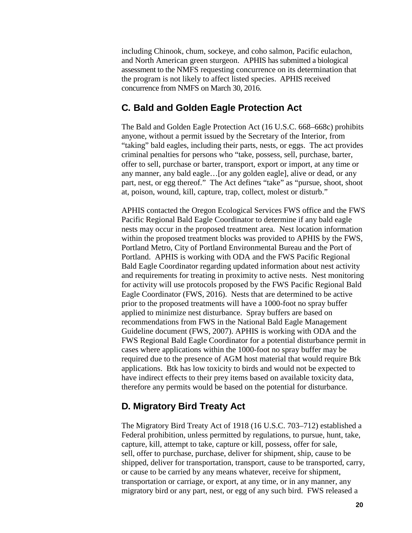including Chinook, chum, sockeye, and coho salmon, Pacific eulachon, and North American green sturgeon. APHIS has submitted a biological assessment to the NMFS requesting concurrence on its determination that the program is not likely to affect listed species. APHIS received concurrence from NMFS on March 30, 2016.

### **C. Bald and Golden Eagle Protection Act**

The Bald and Golden Eagle Protection Act (16 U.S.C. 668–668c) prohibits anyone, without a permit issued by the Secretary of the Interior, from "taking" bald eagles, including their parts, nests, or eggs. The act provides criminal penalties for persons who "take, possess, sell, purchase, barter, offer to sell, purchase or barter, transport, export or import, at any time or any manner, any bald eagle…[or any golden eagle], alive or dead, or any part, nest, or egg thereof." The Act defines "take" as "pursue, shoot, shoot at, poison, wound, kill, capture, trap, collect, molest or disturb."

APHIS contacted the Oregon Ecological Services FWS office and the FWS Pacific Regional Bald Eagle Coordinator to determine if any bald eagle nests may occur in the proposed treatment area. Nest location information within the proposed treatment blocks was provided to APHIS by the FWS, Portland Metro, City of Portland Environmental Bureau and the Port of Portland. APHIS is working with ODA and the FWS Pacific Regional Bald Eagle Coordinator regarding updated information about nest activity and requirements for treating in proximity to active nests. Nest monitoring for activity will use protocols proposed by the FWS Pacific Regional Bald Eagle Coordinator (FWS, 2016). Nests that are determined to be active prior to the proposed treatments will have a 1000-foot no spray buffer applied to minimize nest disturbance. Spray buffers are based on recommendations from FWS in the National Bald Eagle Management Guideline document (FWS, 2007). APHIS is working with ODA and the FWS Regional Bald Eagle Coordinator for a potential disturbance permit in cases where applications within the 1000-foot no spray buffer may be required due to the presence of AGM host material that would require Btk applications. Btk has low toxicity to birds and would not be expected to have indirect effects to their prey items based on available toxicity data, therefore any permits would be based on the potential for disturbance.

### **D. Migratory Bird Treaty Act**

The Migratory Bird Treaty Act of 1918 (16 U.S.C. 703–712) established a Federal prohibition, unless permitted by regulations, to pursue, hunt, take, capture, kill, attempt to take, capture or kill, possess, offer for sale, sell, offer to purchase, purchase, deliver for shipment, ship, cause to be shipped, deliver for transportation, transport, cause to be transported, carry, or cause to be carried by any means whatever, receive for shipment, transportation or carriage, or export, at any time, or in any manner, any migratory bird or any part, nest, or egg of any such bird. FWS released a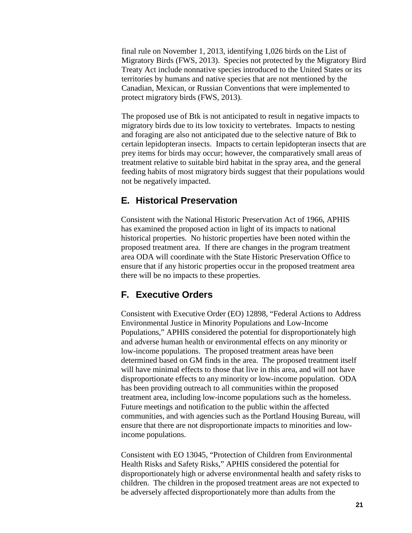final rule on November 1, 2013, identifying 1,026 birds on the List of Migratory Birds (FWS, 2013). Species not protected by the Migratory Bird Treaty Act include nonnative species introduced to the United States or its territories by humans and native species that are not mentioned by the Canadian, Mexican, or Russian Conventions that were implemented to protect migratory birds (FWS, 2013).

The proposed use of Btk is not anticipated to result in negative impacts to migratory birds due to its low toxicity to vertebrates. Impacts to nesting and foraging are also not anticipated due to the selective nature of Btk to certain lepidopteran insects. Impacts to certain lepidopteran insects that are prey items for birds may occur; however, the comparatively small areas of treatment relative to suitable bird habitat in the spray area, and the general feeding habits of most migratory birds suggest that their populations would not be negatively impacted.

### <span id="page-23-0"></span>**E. Historical Preservation**

Consistent with the National Historic Preservation Act of 1966, APHIS has examined the proposed action in light of its impacts to national historical properties. No historic properties have been noted within the proposed treatment area. If there are changes in the program treatment area ODA will coordinate with the State Historic Preservation Office to ensure that if any historic properties occur in the proposed treatment area there will be no impacts to these properties.

### <span id="page-23-1"></span>**F. Executive Orders**

Consistent with Executive Order (EO) 12898, "Federal Actions to Address Environmental Justice in Minority Populations and Low-Income Populations," APHIS considered the potential for disproportionately high and adverse human health or environmental effects on any minority or low-income populations. The proposed treatment areas have been determined based on GM finds in the area. The proposed treatment itself will have minimal effects to those that live in this area, and will not have disproportionate effects to any minority or low-income population. ODA has been providing outreach to all communities within the proposed treatment area, including low-income populations such as the homeless. Future meetings and notification to the public within the affected communities, and with agencies such as the Portland Housing Bureau, will ensure that there are not disproportionate impacts to minorities and lowincome populations.

Consistent with EO 13045, "Protection of Children from Environmental Health Risks and Safety Risks," APHIS considered the potential for disproportionately high or adverse environmental health and safety risks to children. The children in the proposed treatment areas are not expected to be adversely affected disproportionately more than adults from the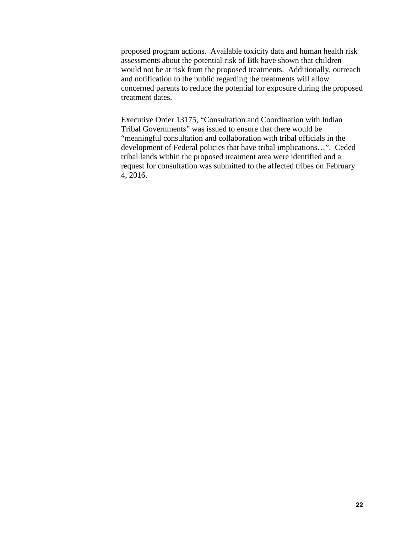proposed program actions. Available toxicity data and human health risk assessments about the potential risk of Btk have shown that children would not be at risk from the proposed treatments. Additionally, outreach and notification to the public regarding the treatments will allow concerned parents to reduce the potential for exposure during the proposed treatment dates.

Executive Order 13175, "Consultation and Coordination with Indian Tribal Governments" was issued to ensure that there would be "meaningful consultation and collaboration with tribal officials in the development of Federal policies that have tribal implications…". Ceded tribal lands within the proposed treatment area were identified and a request for consultation was submitted to the affected tribes on February 4, 2016.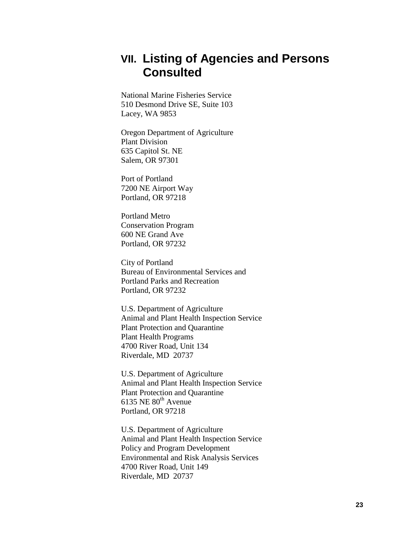# <span id="page-25-0"></span>**VII. Listing of Agencies and Persons Consulted**

National Marine Fisheries Service 510 Desmond Drive SE, Suite 103 Lacey, WA 9853

Oregon Department of Agriculture Plant Division 635 Capitol St. NE Salem, OR 97301

Port of Portland 7200 NE Airport Way Portland, OR 97218

Portland Metro Conservation Program 600 NE Grand Ave Portland, OR 97232

City of Portland Bureau of Environmental Services and Portland Parks and Recreation Portland, OR 97232

U.S. Department of Agriculture Animal and Plant Health Inspection Service Plant Protection and Quarantine Plant Health Programs 4700 River Road, Unit 134 Riverdale, MD 20737

U.S. Department of Agriculture Animal and Plant Health Inspection Service Plant Protection and Quarantine 6135 NE  $80^{th}$  Avenue Portland, OR 97218

U.S. Department of Agriculture Animal and Plant Health Inspection Service Policy and Program Development Environmental and Risk Analysis Services 4700 River Road, Unit 149 Riverdale, MD 20737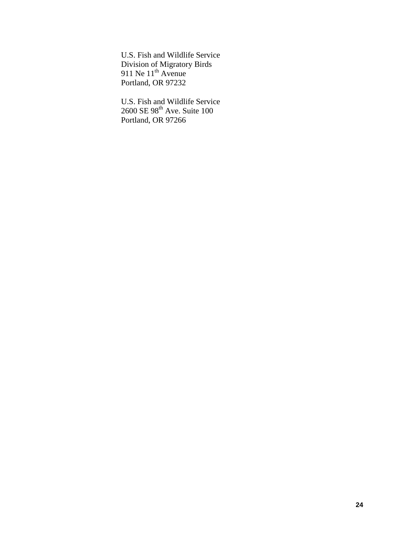U.S. Fish and Wildlife Service Division of Migratory Birds 911 Ne  $11<sup>th</sup>$  Avenue Portland, OR 97232

U.S. Fish and Wildlife Service 2600 SE 98<sup>th</sup> Ave. Suite 100 Portland, OR 97266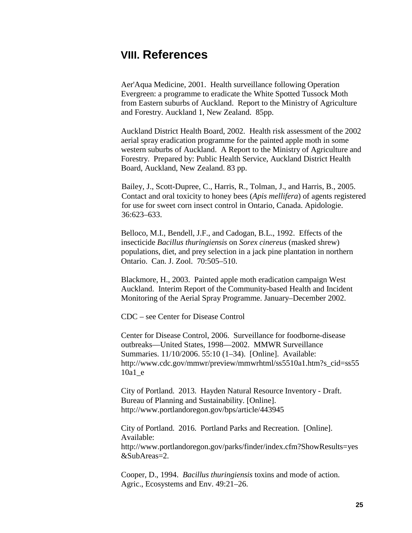# <span id="page-27-0"></span>**VIII. References**

Aer'Aqua Medicine, 2001. Health surveillance following Operation Evergreen: a programme to eradicate the White Spotted Tussock Moth from Eastern suburbs of Auckland. Report to the Ministry of Agriculture and Forestry. Auckland 1, New Zealand. 85pp.

Auckland District Health Board, 2002. Health risk assessment of the 2002 aerial spray eradication programme for the painted apple moth in some western suburbs of Auckland. A Report to the Ministry of Agriculture and Forestry. Prepared by: Public Health Service, Auckland District Health Board, Auckland, New Zealand. 83 pp.

Bailey, J., Scott-Dupree, C., Harris, R., Tolman, J., and Harris, B., 2005. Contact and oral toxicity to honey bees (*Apis mellifera*) of agents registered for use for sweet corn insect control in Ontario, Canada. Apidologie. 36:623–633.

Belloco, M.I., Bendell, J.F., and Cadogan, B.L., 1992. Effects of the insecticide *Bacillus thuringiensis* on *Sorex cinereus* (masked shrew) populations, diet, and prey selection in a jack pine plantation in northern Ontario. Can. J. Zool. 70:505–510.

Blackmore, H., 2003. Painted apple moth eradication campaign West Auckland. Interim Report of the Community-based Health and Incident Monitoring of the Aerial Spray Programme. January–December 2002.

CDC – see Center for Disease Control

Center for Disease Control, 2006. Surveillance for foodborne-disease outbreaks—United States, 1998—2002. MMWR Surveillance Summaries. 11/10/2006. 55:10 (1–34). [Online]. Available[:](http://www.cdc.gov/mmwr/preview/mmwrhtml/ss5510a1.htm?s_cid=ss5510a1_e) [http://www.cdc.gov/mmwr/preview/mmwrhtml/ss5510a1.htm?s\\_cid=ss55](http://www.cdc.gov/mmwr/preview/mmwrhtml/ss5510a1.htm?s_cid=ss5510a1_e) [10a1\\_e](http://www.cdc.gov/mmwr/preview/mmwrhtml/ss5510a1.htm?s_cid=ss5510a1_e)

City of Portland. 2013. Hayden Natural Resource Inventory - Draft. Bureau of Planning and Sustainability. [Online]. http://www.portlandoregon.gov/bps/article/443945

City of Portland. 2016. Portland Parks and Recreation. [Online]. Available: http://www.portlandoregon.gov/parks/finder/index.cfm?ShowResults=yes &SubAreas=2.

Cooper, D., 1994. *Bacillus thuringiensis* toxins and mode of action. Agric., Ecosystems and Env. 49:21–26.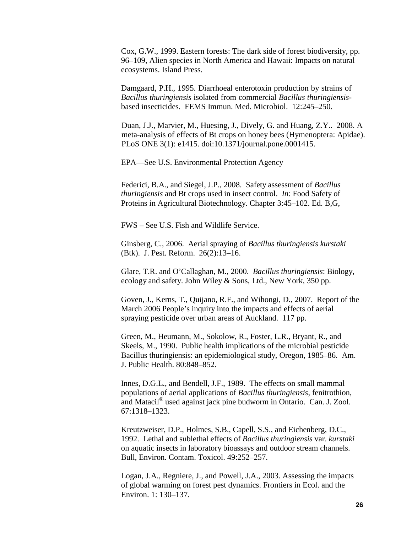Cox, G.W., 1999. Eastern forests: The dark side of forest biodiversity, pp. 96–109, Alien species in North America and Hawaii: Impacts on natural ecosystems. Island Press.

Damgaard, P.H., 1995. Diarrhoeal enterotoxin production by strains of *Bacillus thuringiensis* isolated from commercial *Bacillus thuringiensis*based insecticides. FEMS Immun. Med. Microbiol. 12:245–250.

Duan, J.J., Marvier, M., Huesing, J., Dively, G. and Huang, Z.Y.. 2008. A meta-analysis of effects of Bt crops on honey bees (Hymenoptera: Apidae). PLoS ONE 3(1): e1415. doi:10.1371/journal.pone.0001415.

EPA—See U.S. Environmental Protection Agency

Federici, B.A., and Siegel, J.P., 2008. Safety assessment of *Bacillus thuringiensis* and Bt crops used in insect control. *In*: Food Safety of Proteins in Agricultural Biotechnology. Chapter 3:45–102. Ed. B,G,

FWS – See U.S. Fish and Wildlife Service.

Ginsberg, C., 2006. Aerial spraying of *Bacillus thuringiensis kurstaki* (Btk). J. Pest. Reform. 26(2):13–16.

Glare, T.R. and O'Callaghan, M., 2000. *Bacillus thuringiensis*: Biology, ecology and safety. John Wiley & Sons, Ltd., New York, 350 pp.

Goven, J., Kerns, T., Quijano, R.F., and Wihongi, D., 2007. Report of the March 2006 People's inquiry into the impacts and effects of aerial spraying pesticide over urban areas of Auckland. 117 pp.

Green, M., Heumann, M., Sokolow, R., Foster, L.R., Bryant, R., and Skeels, M., 1990. Public health implications of the microbial pesticide Bacillus thuringiensis: an epidemiological study, Oregon, 1985–86. Am. J. Public Health. 80:848–852.

Innes, D.G.L., and Bendell, J.F., 1989. The effects on small mammal populations of aerial applications of *Bacillus thuringiensis*, fenitrothion, and Matacil® used against jack pine budworm in Ontario. Can. J. Zool. 67:1318–1323.

Kreutzweiser, D.P., Holmes, S.B., Capell, S.S., and Eichenberg, D.C., 1992. Lethal and sublethal effects of *Bacillus thuringiensis* var. *kurstaki* on aquatic insects in laboratory bioassays and outdoor stream channels. Bull, Environ. Contam. Toxicol. 49:252–257.

Logan, J.A., Regniere, J., and Powell, J.A., 2003. Assessing the impacts of global warming on forest pest dynamics. Frontiers in Ecol. and the Environ. 1: 130–137.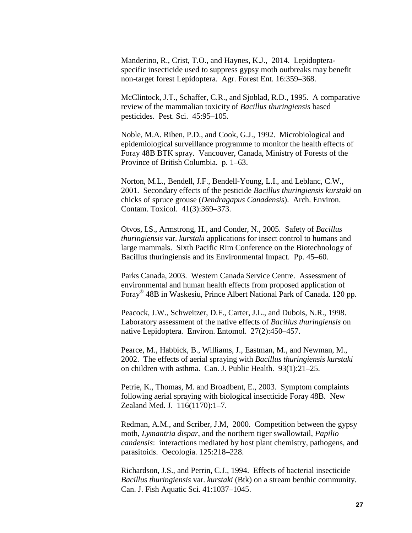Manderino, R., Crist, T.O., and Haynes, K.J., 2014. Lepidopteraspecific insecticide used to suppress gypsy moth outbreaks may benefit non-target forest Lepidoptera. Agr. Forest Ent. 16:359–368.

McClintock, J.T., Schaffer, C.R., and Sjoblad, R.D., 1995. A comparative review of the mammalian toxicity of *Bacillus thuringiensis* based pesticides. Pest. Sci. 45:95–105.

Noble, M.A. Riben, P.D., and Cook, G.J., 1992. Microbiological and epidemiological surveillance programme to monitor the health effects of Foray 48B BTK spray. Vancouver, Canada, Ministry of Forests of the Province of British Columbia. p. 1–63.

Norton, M.L., Bendell, J.F., Bendell-Young, L.I., and Leblanc, C.W., 2001. Secondary effects of the pesticide *Bacillus thuringiensis kurstaki* on chicks of spruce grouse (*Dendragapus Canadensis*). Arch. Environ. Contam. Toxicol. 41(3):369–373.

Otvos, I.S., Armstrong, H., and Conder, N., 2005. Safety of *Bacillus thuringiensis* var. *kurstaki* applications for insect control to humans and large mammals. Sixth Pacific Rim Conference on the Biotechnology of Bacillus thuringiensis and its Environmental Impact. Pp. 45–60.

Parks Canada, 2003. Western Canada Service Centre. Assessment of environmental and human health effects from proposed application of Foray® 48B in Waskesiu, Prince Albert National Park of Canada. 120 pp.

Peacock, J.W., Schweitzer, D.F., Carter, J.L., and Dubois, N.R., 1998. Laboratory assessment of the native effects of *Bacillus thuringiensis* on native Lepidoptera. Environ. Entomol. 27(2):450–457.

Pearce, M., Habbick, B., Williams, J., Eastman, M., and Newman, M., 2002. The effects of aerial spraying with *Bacillus thuringiensis kurstaki* on children with asthma. Can. J. Public Health. 93(1):21–25.

Petrie, K., Thomas, M. and Broadbent, E., 2003. Symptom complaints following aerial spraying with biological insecticide Foray 48B. New Zealand Med. J. 116(1170):1–7.

Redman, A.M., and Scriber, J.M, 2000. Competition between the gypsy moth, *Lymantria dispar*, and the northern tiger swallowtail, *Papilio candensis*: interactions mediated by host plant chemistry, pathogens, and parasitoids. Oecologia. 125:218–228.

Richardson, J.S., and Perrin, C.J., 1994. Effects of bacterial insecticide *Bacillus thuringiensis* var. *kurstaki* (Btk) on a stream benthic community. Can. J. Fish Aquatic Sci. 41:1037–1045.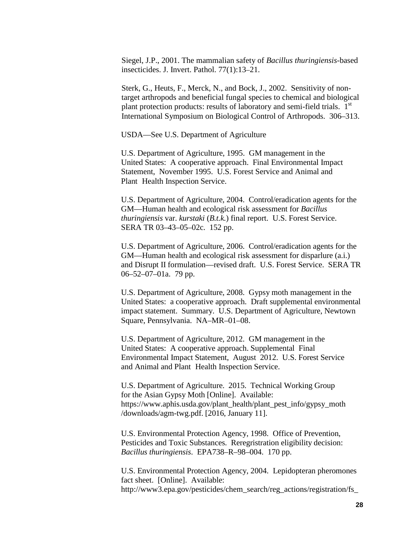Siegel, J.P., 2001. The mammalian safety of *Bacillus thuringiensis*-based insecticides. J. Invert. Pathol. 77(1):13–21.

Sterk, G., Heuts, F., Merck, N., and Bock, J., 2002. Sensitivity of nontarget arthropods and beneficial fungal species to chemical and biological plant protection products: results of laboratory and semi-field trials.  $1<sup>st</sup>$ International Symposium on Biological Control of Arthropods. 306–313.

USDA—See U.S. Department of Agriculture

U.S. Department of Agriculture, 1995. GM management in the United States: A cooperative approach. Final Environmental Impact Statement, November 1995. U.S. Forest Service and Animal and Plant Health Inspection Service.

U.S. Department of Agriculture, 2004. Control/eradication agents for the GM—Human health and ecological risk assessment for *Bacillus thuringiensis* var. *kurstaki* (*B.t.k.*) final report. U.S. Forest Service. SERA TR 03–43–05–02c. 152 pp.

U.S. Department of Agriculture, 2006. Control/eradication agents for the GM—Human health and ecological risk assessment for disparlure (a.i.) and Disrupt II formulation—revised draft. U.S. Forest Service. SERA TR 06–52–07–01a. 79 pp.

U.S. Department of Agriculture, 2008. Gypsy moth management in the United States: a cooperative approach. Draft supplemental environmental impact statement. Summary. U.S. Department of Agriculture, Newtown Square, Pennsylvania. NA–MR–01–08.

U.S. Department of Agriculture, 2012. GM management in the United States: A cooperative approach. Supplemental Final Environmental Impact Statement, August 2012. U.S. Forest Service and Animal and Plant Health Inspection Service.

U.S. Department of Agriculture. 2015. Technical Working Group for the Asian Gypsy Moth [Online]. Available: https://www.aphis.usda.gov/plant\_health/plant\_pest\_info/gypsy\_moth /downloads/agm-twg.pdf. [2016, January 11].

U.S. Environmental Protection Agency, 1998. Office of Prevention, Pesticides and Toxic Substances. Reregristration eligibility decision: *Bacillus thuringiensis*. EPA738–R–98–004. 170 pp.

U.S. Environmental Protection Agency, 2004. Lepidopteran pheromones fact sheet. [Online]. Available: http://www3.epa.gov/pesticides/chem\_search/reg\_actions/registration/fs\_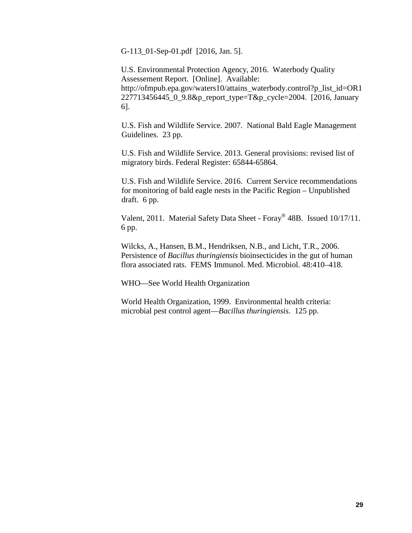G-113\_01-Sep-01.pdf [2016, Jan. 5].

U.S. Environmental Protection Agency, 2016. Waterbody Quality Assessement Report. [Online]. Available: http://ofmpub.epa.gov/waters10/attains\_waterbody.control?p\_list\_id=OR1 227713456445\_0\_9.8&p\_report\_type=T&p\_cycle=2004. [2016, January 6].

U.S. Fish and Wildlife Service. 2007. National Bald Eagle Management Guidelines. 23 pp.

U.S. Fish and Wildlife Service. 2013. General provisions: revised list of migratory birds. Federal Register: 65844-65864.

U.S. Fish and Wildlife Service. 2016. Current Service recommendations for monitoring of bald eagle nests in the Pacific Region – Unpublished draft. 6 pp.

Valent, 2011. Material Safety Data Sheet - Foray® 48B. Issued 10/17/11. 6 pp.

Wilcks, A., Hansen, B.M., Hendriksen, N.B., and Licht, T.R., 2006. Persistence of *Bacillus thuringiensis* bioinsecticides in the gut of human flora associated rats. FEMS Immunol. Med. Microbiol. 48:410–418.

WHO—See World Health Organization

World Health Organization, 1999. Environmental health criteria: microbial pest control agent—*Bacillus thuringiensis*. 125 pp.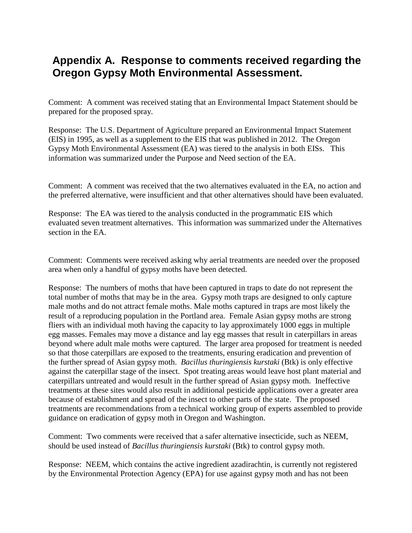# **Appendix A. Response to comments received regarding the Oregon Gypsy Moth Environmental Assessment.**

Comment: A comment was received stating that an Environmental Impact Statement should be prepared for the proposed spray.

Response: The U.S. Department of Agriculture prepared an Environmental Impact Statement (EIS) in 1995, as well as a supplement to the EIS that was published in 2012. The Oregon Gypsy Moth Environmental Assessment (EA) was tiered to the analysis in both EISs. This information was summarized under the Purpose and Need section of the EA.

Comment: A comment was received that the two alternatives evaluated in the EA, no action and the preferred alternative, were insufficient and that other alternatives should have been evaluated.

Response: The EA was tiered to the analysis conducted in the programmatic EIS which evaluated seven treatment alternatives. This information was summarized under the Alternatives section in the EA.

Comment: Comments were received asking why aerial treatments are needed over the proposed area when only a handful of gypsy moths have been detected.

Response: The numbers of moths that have been captured in traps to date do not represent the total number of moths that may be in the area. Gypsy moth traps are designed to only capture male moths and do not attract female moths. Male moths captured in traps are most likely the result of a reproducing population in the Portland area. Female Asian gypsy moths are strong fliers with an individual moth having the capacity to lay approximately 1000 eggs in multiple egg masses. Females may move a distance and lay egg masses that result in caterpillars in areas beyond where adult male moths were captured. The larger area proposed for treatment is needed so that those caterpillars are exposed to the treatments, ensuring eradication and prevention of the further spread of Asian gypsy moth. *Bacillus thuringiensis kurstaki* (Btk) is only effective against the caterpillar stage of the insect. Spot treating areas would leave host plant material and caterpillars untreated and would result in the further spread of Asian gypsy moth. Ineffective treatments at these sites would also result in additional pesticide applications over a greater area because of establishment and spread of the insect to other parts of the state. The proposed treatments are recommendations from a technical working group of experts assembled to provide guidance on eradication of gypsy moth in Oregon and Washington.

Comment: Two comments were received that a safer alternative insecticide, such as NEEM, should be used instead of *Bacillus thuringiensis kurstaki* (Btk) to control gypsy moth.

Response: NEEM, which contains the active ingredient azadirachtin, is currently not registered by the Environmental Protection Agency (EPA) for use against gypsy moth and has not been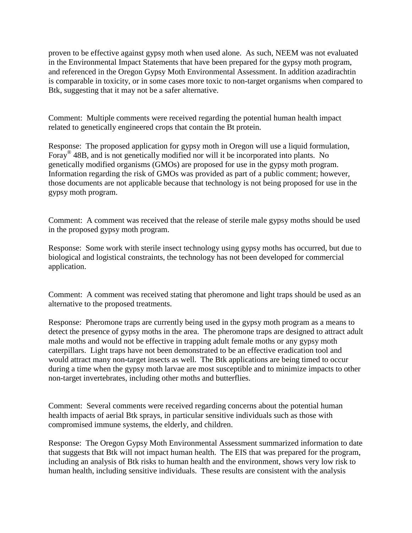proven to be effective against gypsy moth when used alone. As such, NEEM was not evaluated in the Environmental Impact Statements that have been prepared for the gypsy moth program, and referenced in the Oregon Gypsy Moth Environmental Assessment. In addition azadirachtin is comparable in toxicity, or in some cases more toxic to non-target organisms when compared to Btk, suggesting that it may not be a safer alternative.

Comment: Multiple comments were received regarding the potential human health impact related to genetically engineered crops that contain the Bt protein.

Response: The proposed application for gypsy moth in Oregon will use a liquid formulation, Foray<sup>®</sup> 48B, and is not genetically modified nor will it be incorporated into plants. No genetically modified organisms (GMOs) are proposed for use in the gypsy moth program. Information regarding the risk of GMOs was provided as part of a public comment; however, those documents are not applicable because that technology is not being proposed for use in the gypsy moth program.

Comment: A comment was received that the release of sterile male gypsy moths should be used in the proposed gypsy moth program.

Response: Some work with sterile insect technology using gypsy moths has occurred, but due to biological and logistical constraints, the technology has not been developed for commercial application.

Comment: A comment was received stating that pheromone and light traps should be used as an alternative to the proposed treatments.

Response: Pheromone traps are currently being used in the gypsy moth program as a means to detect the presence of gypsy moths in the area. The pheromone traps are designed to attract adult male moths and would not be effective in trapping adult female moths or any gypsy moth caterpillars. Light traps have not been demonstrated to be an effective eradication tool and would attract many non-target insects as well. The Btk applications are being timed to occur during a time when the gypsy moth larvae are most susceptible and to minimize impacts to other non-target invertebrates, including other moths and butterflies.

Comment: Several comments were received regarding concerns about the potential human health impacts of aerial Btk sprays, in particular sensitive individuals such as those with compromised immune systems, the elderly, and children.

Response: The Oregon Gypsy Moth Environmental Assessment summarized information to date that suggests that Btk will not impact human health. The EIS that was prepared for the program, including an analysis of Btk risks to human health and the environment, shows very low risk to human health, including sensitive individuals. These results are consistent with the analysis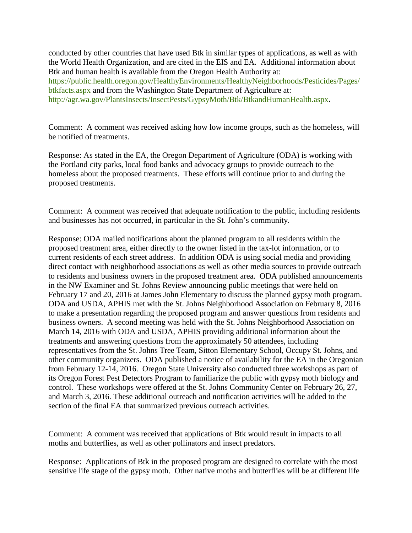conducted by other countries that have used Btk in similar types of applications, as well as with the World Health Organization, and are cited in the EIS and EA. Additional information about Btk and human health is available from the Oregon Health Authority at: [https://public.health.oregon.gov/HealthyEnvironments/HealthyNeighborhoods/Pesticides/Pages/](https://public.health.oregon.gov/HealthyEnvironments/HealthyNeighborhoods/Pesticides/Pages/btkfacts.aspx) [btkfacts.aspx](https://public.health.oregon.gov/HealthyEnvironments/HealthyNeighborhoods/Pesticides/Pages/btkfacts.aspx) and from the Washington State Department of Agriculture at: <http://agr.wa.gov/PlantsInsects/InsectPests/GypsyMoth/Btk/BtkandHumanHealth.aspx>**.**

Comment: A comment was received asking how low income groups, such as the homeless, will be notified of treatments.

Response: As stated in the EA, the Oregon Department of Agriculture (ODA) is working with the Portland city parks, local food banks and advocacy groups to provide outreach to the homeless about the proposed treatments. These efforts will continue prior to and during the proposed treatments.

Comment: A comment was received that adequate notification to the public, including residents and businesses has not occurred, in particular in the St. John's community.

Response: ODA mailed notifications about the planned program to all residents within the proposed treatment area, either directly to the owner listed in the tax-lot information, or to current residents of each street address. In addition ODA is using social media and providing direct contact with neighborhood associations as well as other media sources to provide outreach to residents and business owners in the proposed treatment area. ODA published announcements in the NW Examiner and St. Johns Review announcing public meetings that were held on February 17 and 20, 2016 at James John Elementary to discuss the planned gypsy moth program. ODA and USDA, APHIS met with the St. Johns Neighborhood Association on February 8, 2016 to make a presentation regarding the proposed program and answer questions from residents and business owners. A second meeting was held with the St. Johns Neighborhood Association on March 14, 2016 with ODA and USDA, APHIS providing additional information about the treatments and answering questions from the approximately 50 attendees, including representatives from the St. Johns Tree Team, Sitton Elementary School, Occupy St. Johns, and other community organizers. ODA published a notice of availability for the EA in the Oregonian from February 12-14, 2016. Oregon State University also conducted three workshops as part of its Oregon Forest Pest Detectors Program to familiarize the public with gypsy moth biology and control. These workshops were offered at the St. Johns Community Center on February 26, 27, and March 3, 2016. These additional outreach and notification activities will be added to the section of the final EA that summarized previous outreach activities.

Comment: A comment was received that applications of Btk would result in impacts to all moths and butterflies, as well as other pollinators and insect predators.

Response: Applications of Btk in the proposed program are designed to correlate with the most sensitive life stage of the gypsy moth. Other native moths and butterflies will be at different life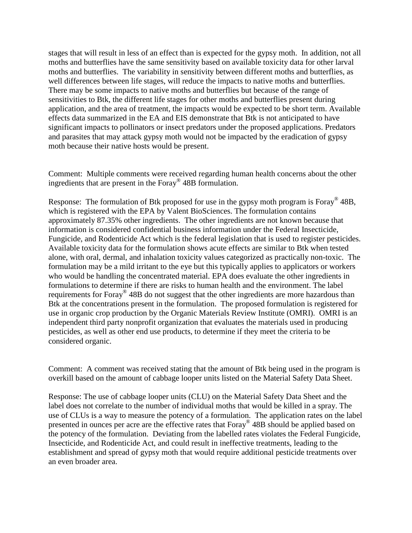stages that will result in less of an effect than is expected for the gypsy moth. In addition, not all moths and butterflies have the same sensitivity based on available toxicity data for other larval moths and butterflies. The variability in sensitivity between different moths and butterflies, as well differences between life stages, will reduce the impacts to native moths and butterflies. There may be some impacts to native moths and butterflies but because of the range of sensitivities to Btk, the different life stages for other moths and butterflies present during application, and the area of treatment, the impacts would be expected to be short term. Available effects data summarized in the EA and EIS demonstrate that Btk is not anticipated to have significant impacts to pollinators or insect predators under the proposed applications. Predators and parasites that may attack gypsy moth would not be impacted by the eradication of gypsy moth because their native hosts would be present.

Comment: Multiple comments were received regarding human health concerns about the other ingredients that are present in the Foray® 48B formulation.

Response: The formulation of Btk proposed for use in the gypsy moth program is Foray<sup>®</sup> 48B, which is registered with the EPA by Valent BioSciences. The formulation contains approximately 87.35% other ingredients. The other ingredients are not known because that information is considered confidential business information under the Federal Insecticide, Fungicide, and Rodenticide Act which is the federal legislation that is used to register pesticides. Available toxicity data for the formulation shows acute effects are similar to Btk when tested alone, with oral, dermal, and inhalation toxicity values categorized as practically non-toxic. The formulation may be a mild irritant to the eye but this typically applies to applicators or workers who would be handling the concentrated material. EPA does evaluate the other ingredients in formulations to determine if there are risks to human health and the environment. The label requirements for Foray<sup>®</sup> 48B do not suggest that the other ingredients are more hazardous than Btk at the concentrations present in the formulation. The proposed formulation is registered for use in organic crop production by the Organic Materials Review Institute (OMRI). OMRI is an independent third party nonprofit organization that evaluates the materials used in producing pesticides, as well as other end use products, to determine if they meet the criteria to be considered organic.

Comment: A comment was received stating that the amount of Btk being used in the program is overkill based on the amount of cabbage looper units listed on the Material Safety Data Sheet.

Response: The use of cabbage looper units (CLU) on the Material Safety Data Sheet and the label does not correlate to the number of individual moths that would be killed in a spray. The use of CLUs is a way to measure the potency of a formulation. The application rates on the label presented in ounces per acre are the effective rates that Foray® 48B should be applied based on the potency of the formulation. Deviating from the labelled rates violates the Federal Fungicide, Insecticide, and Rodenticide Act, and could result in ineffective treatments, leading to the establishment and spread of gypsy moth that would require additional pesticide treatments over an even broader area.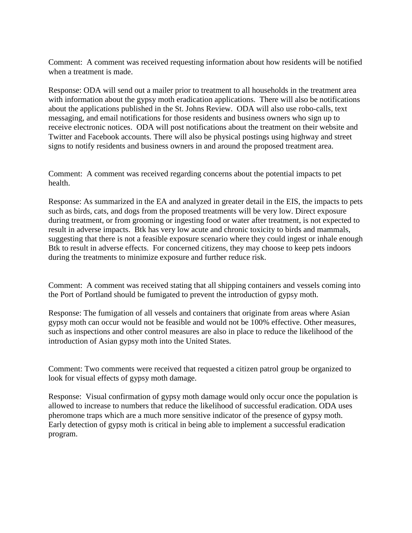Comment: A comment was received requesting information about how residents will be notified when a treatment is made.

Response: ODA will send out a mailer prior to treatment to all households in the treatment area with information about the gypsy moth eradication applications. There will also be notifications about the applications published in the St. Johns Review. ODA will also use robo-calls, text messaging, and email notifications for those residents and business owners who sign up to receive electronic notices. ODA will post notifications about the treatment on their website and Twitter and Facebook accounts. There will also be physical postings using highway and street signs to notify residents and business owners in and around the proposed treatment area.

Comment: A comment was received regarding concerns about the potential impacts to pet health.

Response: As summarized in the EA and analyzed in greater detail in the EIS, the impacts to pets such as birds, cats, and dogs from the proposed treatments will be very low. Direct exposure during treatment, or from grooming or ingesting food or water after treatment, is not expected to result in adverse impacts. Btk has very low acute and chronic toxicity to birds and mammals, suggesting that there is not a feasible exposure scenario where they could ingest or inhale enough Btk to result in adverse effects. For concerned citizens, they may choose to keep pets indoors during the treatments to minimize exposure and further reduce risk.

Comment: A comment was received stating that all shipping containers and vessels coming into the Port of Portland should be fumigated to prevent the introduction of gypsy moth.

Response: The fumigation of all vessels and containers that originate from areas where Asian gypsy moth can occur would not be feasible and would not be 100% effective. Other measures, such as inspections and other control measures are also in place to reduce the likelihood of the introduction of Asian gypsy moth into the United States.

Comment: Two comments were received that requested a citizen patrol group be organized to look for visual effects of gypsy moth damage.

Response: Visual confirmation of gypsy moth damage would only occur once the population is allowed to increase to numbers that reduce the likelihood of successful eradication. ODA uses pheromone traps which are a much more sensitive indicator of the presence of gypsy moth. Early detection of gypsy moth is critical in being able to implement a successful eradication program.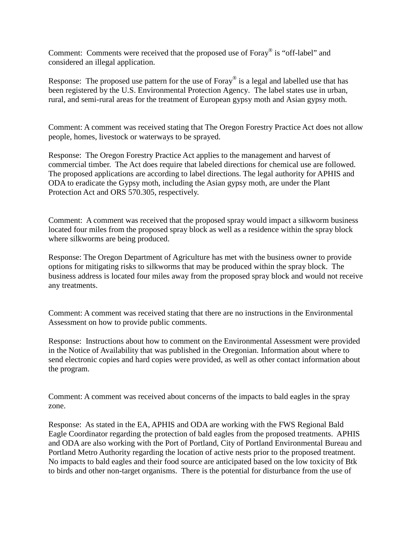Comment: Comments were received that the proposed use of Foray® is "off-label" and considered an illegal application.

Response: The proposed use pattern for the use of Foray<sup>®</sup> is a legal and labelled use that has been registered by the U.S. Environmental Protection Agency. The label states use in urban, rural, and semi-rural areas for the treatment of European gypsy moth and Asian gypsy moth.

Comment: A comment was received stating that The Oregon Forestry Practice Act does not allow people, homes, livestock or waterways to be sprayed.

Response: The Oregon Forestry Practice Act applies to the management and harvest of commercial timber. The Act does require that labeled directions for chemical use are followed. The proposed applications are according to label directions. The legal authority for APHIS and ODA to eradicate the Gypsy moth, including the Asian gypsy moth, are under the Plant Protection Act and ORS 570.305, respectively.

Comment: A comment was received that the proposed spray would impact a silkworm business located four miles from the proposed spray block as well as a residence within the spray block where silkworms are being produced.

Response: The Oregon Department of Agriculture has met with the business owner to provide options for mitigating risks to silkworms that may be produced within the spray block. The business address is located four miles away from the proposed spray block and would not receive any treatments.

Comment: A comment was received stating that there are no instructions in the Environmental Assessment on how to provide public comments.

Response: Instructions about how to comment on the Environmental Assessment were provided in the Notice of Availability that was published in the Oregonian. Information about where to send electronic copies and hard copies were provided, as well as other contact information about the program.

Comment: A comment was received about concerns of the impacts to bald eagles in the spray zone.

Response: As stated in the EA, APHIS and ODA are working with the FWS Regional Bald Eagle Coordinator regarding the protection of bald eagles from the proposed treatments. APHIS and ODA are also working with the Port of Portland, City of Portland Environmental Bureau and Portland Metro Authority regarding the location of active nests prior to the proposed treatment. No impacts to bald eagles and their food source are anticipated based on the low toxicity of Btk to birds and other non-target organisms. There is the potential for disturbance from the use of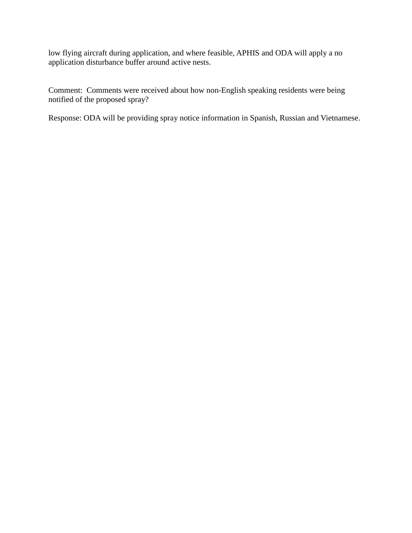low flying aircraft during application, and where feasible, APHIS and ODA will apply a no application disturbance buffer around active nests.

Comment: Comments were received about how non-English speaking residents were being notified of the proposed spray?

Response: ODA will be providing spray notice information in Spanish, Russian and Vietnamese.